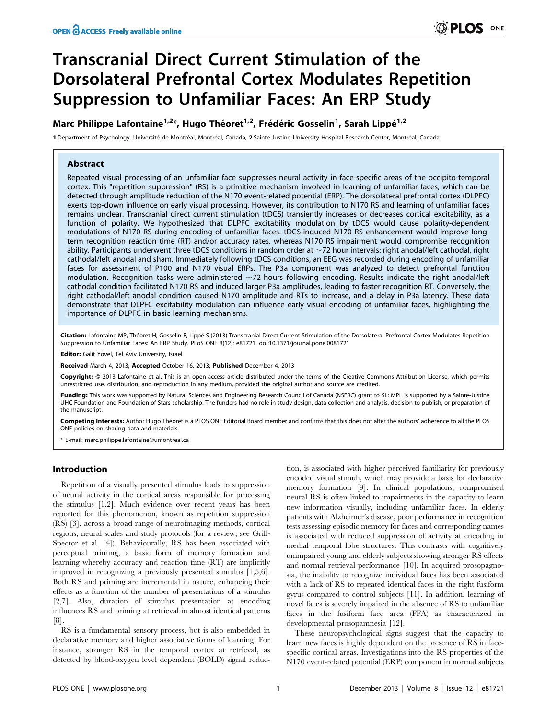# Transcranial Direct Current Stimulation of the Dorsolateral Prefrontal Cortex Modulates Repetition Suppression to Unfamiliar Faces: An ERP Study

# Marc Philippe Lafontaine<sup>1,2</sup>\*, Hugo Théoret<sup>1,2</sup>, Frédéric Gosselin<sup>1</sup>, Sarah Lippé<sup>1,2</sup>

1 Department of Psychology, Université de Montréal, Montréal, Canada, 2 Sainte-Justine University Hospital Research Center, Montréal, Canada

# Abstract

Repeated visual processing of an unfamiliar face suppresses neural activity in face-specific areas of the occipito-temporal cortex. This "repetition suppression" (RS) is a primitive mechanism involved in learning of unfamiliar faces, which can be detected through amplitude reduction of the N170 event-related potential (ERP). The dorsolateral prefrontal cortex (DLPFC) exerts top-down influence on early visual processing. However, its contribution to N170 RS and learning of unfamiliar faces remains unclear. Transcranial direct current stimulation (tDCS) transiently increases or decreases cortical excitability, as a function of polarity. We hypothesized that DLPFC excitability modulation by tDCS would cause polarity-dependent modulations of N170 RS during encoding of unfamiliar faces. tDCS-induced N170 RS enhancement would improve longterm recognition reaction time (RT) and/or accuracy rates, whereas N170 RS impairment would compromise recognition ability. Participants underwent three tDCS conditions in random order at  $\sim$ 72 hour intervals: right anodal/left cathodal, right cathodal/left anodal and sham. Immediately following tDCS conditions, an EEG was recorded during encoding of unfamiliar faces for assessment of P100 and N170 visual ERPs. The P3a component was analyzed to detect prefrontal function modulation. Recognition tasks were administered  $\sim$ 72 hours following encoding. Results indicate the right anodal/left cathodal condition facilitated N170 RS and induced larger P3a amplitudes, leading to faster recognition RT. Conversely, the right cathodal/left anodal condition caused N170 amplitude and RTs to increase, and a delay in P3a latency. These data demonstrate that DLPFC excitability modulation can influence early visual encoding of unfamiliar faces, highlighting the importance of DLPFC in basic learning mechanisms.

Citation: Lafontaine MP, Théoret H, Gosselin F, Lippé S (2013) Transcranial Direct Current Stimulation of the Dorsolateral Prefrontal Cortex Modulates Repetition Suppression to Unfamiliar Faces: An ERP Study. PLoS ONE 8(12): e81721. doi:10.1371/journal.pone.0081721

Editor: Galit Yovel, Tel Aviv University, Israel

Received March 4, 2013; Accepted October 16, 2013; Published December 4, 2013

Copyright: © 2013 Lafontaine et al. This is an open-access article distributed under the terms of the Creative Commons Attribution License, which permits unrestricted use, distribution, and reproduction in any medium, provided the original author and source are credited.

Funding: This work was supported by Natural Sciences and Engineering Research Council of Canada (NSERC) grant to SL; MPL is supported by a Sainte-Justine UHC Foundation and Foundation of Stars scholarship. The funders had no role in study design, data collection and analysis, decision to publish, or preparation of the manuscript.

Competing Interests: Author Hugo Théoret is a PLOS ONE Editorial Board member and confirms that this does not alter the authors' adherence to all the PLOS ONE policies on sharing data and materials.

\* E-mail: marc.philippe.lafontaine@umontreal.ca

# Introduction

Repetition of a visually presented stimulus leads to suppression of neural activity in the cortical areas responsible for processing the stimulus [1,2]. Much evidence over recent years has been reported for this phenomenon, known as repetition suppression (RS) [3], across a broad range of neuroimaging methods, cortical regions, neural scales and study protocols (for a review, see Grill-Spector et al. [4]). Behaviourally, RS has been associated with perceptual priming, a basic form of memory formation and learning whereby accuracy and reaction time (RT) are implicitly improved in recognizing a previously presented stimulus [1,5,6]. Both RS and priming are incremental in nature, enhancing their effects as a function of the number of presentations of a stimulus [2,7]. Also, duration of stimulus presentation at encoding influences RS and priming at retrieval in almost identical patterns [8].

RS is a fundamental sensory process, but is also embedded in declarative memory and higher associative forms of learning. For instance, stronger RS in the temporal cortex at retrieval, as detected by blood-oxygen level dependent (BOLD) signal reduction, is associated with higher perceived familiarity for previously encoded visual stimuli, which may provide a basis for declarative memory formation [9]. In clinical populations, compromised neural RS is often linked to impairments in the capacity to learn new information visually, including unfamiliar faces. In elderly patients with Alzheimer's disease, poor performance in recognition tests assessing episodic memory for faces and corresponding names is associated with reduced suppression of activity at encoding in medial temporal lobe structures. This contrasts with cognitively unimpaired young and elderly subjects showing stronger RS effects and normal retrieval performance [10]. In acquired prosopagnosia, the inability to recognize individual faces has been associated with a lack of RS to repeated identical faces in the right fusiform gyrus compared to control subjects [11]. In addition, learning of novel faces is severely impaired in the absence of RS to unfamiliar faces in the fusiform face area (FFA) as characterized in developmental prosopamnesia [12].

These neuropsychological signs suggest that the capacity to learn new faces is highly dependent on the presence of RS in facespecific cortical areas. Investigations into the RS properties of the N170 event-related potential (ERP) component in normal subjects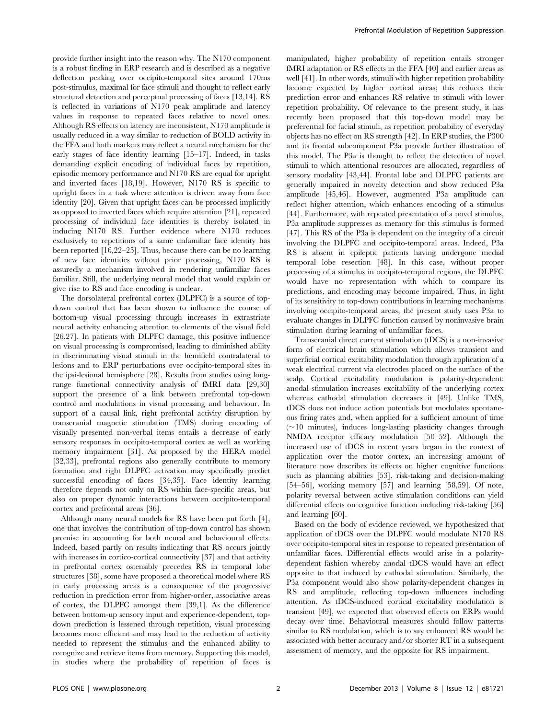provide further insight into the reason why. The N170 component is a robust finding in ERP research and is described as a negative deflection peaking over occipito-temporal sites around 170ms post-stimulus, maximal for face stimuli and thought to reflect early structural detection and perceptual processing of faces [13,14]. RS is reflected in variations of N170 peak amplitude and latency values in response to repeated faces relative to novel ones. Although RS effects on latency are inconsistent, N170 amplitude is usually reduced in a way similar to reduction of BOLD activity in the FFA and both markers may reflect a neural mechanism for the early stages of face identity learning [15–17]. Indeed, in tasks demanding explicit encoding of individual faces by repetition, episodic memory performance and N170 RS are equal for upright and inverted faces [18,19]. However, N170 RS is specific to upright faces in a task where attention is driven away from face identity [20]. Given that upright faces can be processed implicitly as opposed to inverted faces which require attention [21], repeated processing of individual face identities is thereby isolated in inducing N170 RS. Further evidence where N170 reduces exclusively to repetitions of a same unfamiliar face identity has been reported [16,22–25]. Thus, because there can be no learning of new face identities without prior processing, N170 RS is assuredly a mechanism involved in rendering unfamiliar faces familiar. Still, the underlying neural model that would explain or give rise to RS and face encoding is unclear.

The dorsolateral prefrontal cortex (DLPFC) is a source of topdown control that has been shown to influence the course of bottom-up visual processing through increases in extrastriate neural activity enhancing attention to elements of the visual field [26,27]. In patients with DLPFC damage, this positive influence on visual processing is compromised, leading to diminished ability in discriminating visual stimuli in the hemifield contralateral to lesions and to ERP perturbations over occipito-temporal sites in the ipsi-lesional hemisphere [28]. Results from studies using longrange functional connectivity analysis of fMRI data [29,30] support the presence of a link between prefrontal top-down control and modulations in visual processing and behaviour. In support of a causal link, right prefrontal activity disruption by transcranial magnetic stimulation (TMS) during encoding of visually presented non-verbal items entails a decrease of early sensory responses in occipito-temporal cortex as well as working memory impairment [31]. As proposed by the HERA model [32,33], prefrontal regions also generally contribute to memory formation and right DLPFC activation may specifically predict successful encoding of faces [34,35]. Face identity learning therefore depends not only on RS within face-specific areas, but also on proper dynamic interactions between occipito-temporal cortex and prefrontal areas [36].

Although many neural models for RS have been put forth [4], one that involves the contribution of top-down control has shown promise in accounting for both neural and behavioural effects. Indeed, based partly on results indicating that RS occurs jointly with increases in cortico-cortical connectivity [37] and that activity in prefrontal cortex ostensibly precedes RS in temporal lobe structures [38], some have proposed a theoretical model where RS in early processing areas is a consequence of the progressive reduction in prediction error from higher-order, associative areas of cortex, the DLPFC amongst them [39,1]. As the difference between bottom-up sensory input and experience-dependent, topdown prediction is lessened through repetition, visual processing becomes more efficient and may lead to the reduction of activity needed to represent the stimulus and the enhanced ability to recognize and retrieve items from memory. Supporting this model, in studies where the probability of repetition of faces is

manipulated, higher probability of repetition entails stronger fMRI adaptation or RS effects in the FFA [40] and earlier areas as well [41]. In other words, stimuli with higher repetition probability become expected by higher cortical areas; this reduces their prediction error and enhances RS relative to stimuli with lower repetition probability. Of relevance to the present study, it has recently been proposed that this top-down model may be preferential for facial stimuli, as repetition probability of everyday objects has no effect on RS strength [42]. In ERP studies, the P300 and its frontal subcomponent P3a provide further illustration of this model. The P3a is thought to reflect the detection of novel stimuli to which attentional resources are allocated, regardless of sensory modality [43,44]. Frontal lobe and DLPFC patients are generally impaired in novelty detection and show reduced P3a amplitude [45,46]. However, augmented P3a amplitude can reflect higher attention, which enhances encoding of a stimulus [44]. Furthermore, with repeated presentation of a novel stimulus, P3a amplitude suppresses as memory for this stimulus is formed [47]. This RS of the P3a is dependent on the integrity of a circuit involving the DLPFC and occipito-temporal areas. Indeed, P3a RS is absent in epileptic patients having undergone medial temporal lobe resection [48]. In this case, without proper processing of a stimulus in occipito-temporal regions, the DLPFC would have no representation with which to compare its predictions, and encoding may become impaired. Thus, in light of its sensitivity to top-down contributions in learning mechanisms involving occipito-temporal areas, the present study uses P3a to evaluate changes in DLPFC function caused by noninvasive brain stimulation during learning of unfamiliar faces.

Transcranial direct current stimulation (tDCS) is a non-invasive form of electrical brain stimulation which allows transient and superficial cortical excitability modulation through application of a weak electrical current via electrodes placed on the surface of the scalp. Cortical excitability modulation is polarity-dependent: anodal stimulation increases excitability of the underlying cortex whereas cathodal stimulation decreases it [49]. Unlike TMS, tDCS does not induce action potentials but modulates spontaneous firing rates and, when applied for a sufficient amount of time  $(\sim)10$  minutes), induces long-lasting plasticity changes through NMDA receptor efficacy modulation [50–52]. Although the increased use of tDCS in recent years began in the context of application over the motor cortex, an increasing amount of literature now describes its effects on higher cognitive functions such as planning abilities [53], risk-taking and decision-making [54–56], working memory [57] and learning [58,59]. Of note, polarity reversal between active stimulation conditions can yield differential effects on cognitive function including risk-taking [56] and learning [60].

Based on the body of evidence reviewed, we hypothesized that application of tDCS over the DLPFC would modulate N170 RS over occipito-temporal sites in response to repeated presentation of unfamiliar faces. Differential effects would arise in a polaritydependent fashion whereby anodal tDCS would have an effect opposite to that induced by cathodal stimulation. Similarly, the P3a component would also show polarity-dependent changes in RS and amplitude, reflecting top-down influences including attention. As tDCS-induced cortical excitability modulation is transient [49], we expected that observed effects on ERPs would decay over time. Behavioural measures should follow patterns similar to RS modulation, which is to say enhanced RS would be associated with better accuracy and/or shorter RT in a subsequent assessment of memory, and the opposite for RS impairment.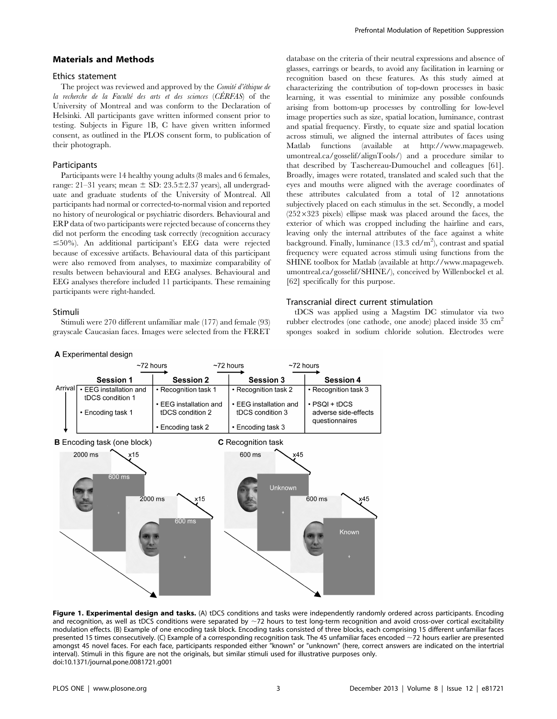# Materials and Methods

#### Ethics statement

The project was reviewed and approved by the *Comité d'éthique de* la recherche de la Faculté des arts et des sciences  $(CÉRFAS)$  of the University of Montreal and was conform to the Declaration of Helsinki. All participants gave written informed consent prior to testing. Subjects in Figure 1B, C have given written informed consent, as outlined in the PLOS consent form, to publication of their photograph.

# **Participants**

Participants were 14 healthy young adults (8 males and 6 females, range: 21–31 years; mean  $\pm$  SD: 23.5 $\pm$ 2.37 years), all undergraduate and graduate students of the University of Montreal. All participants had normal or corrected-to-normal vision and reported no history of neurological or psychiatric disorders. Behavioural and ERP data of two participants were rejected because of concerns they did not perform the encoding task correctly (recognition accuracy  $\leq$ 50%). An additional participant's EEG data were rejected because of excessive artifacts. Behavioural data of this participant were also removed from analyses, to maximize comparability of results between behavioural and EEG analyses. Behavioural and EEG analyses therefore included 11 participants. These remaining participants were right-handed.

# Stimuli

Stimuli were 270 different unfamiliar male (177) and female (93) grayscale Caucasian faces. Images were selected from the FERET database on the criteria of their neutral expressions and absence of glasses, earrings or beards, to avoid any facilitation in learning or recognition based on these features. As this study aimed at characterizing the contribution of top-down processes in basic learning, it was essential to minimize any possible confounds arising from bottom-up processes by controlling for low-level image properties such as size, spatial location, luminance, contrast and spatial frequency. Firstly, to equate size and spatial location across stimuli, we aligned the internal attributes of faces using Matlab functions (available at http://www.mapageweb. umontreal.ca/gosselif/alignTools/) and a procedure similar to that described by Taschereau-Dumouchel and colleagues [61]. Broadly, images were rotated, translated and scaled such that the eyes and mouths were aligned with the average coordinates of these attributes calculated from a total of 12 annotations subjectively placed on each stimulus in the set. Secondly, a model  $(252\times323$  pixels) ellipse mask was placed around the faces, the exterior of which was cropped including the hairline and ears, leaving only the internal attributes of the face against a white background. Finally, luminance (13.3 cd/m<sup>2</sup>), contrast and spatial frequency were equated across stimuli using functions from the SHINE toolbox for Matlab (available at http://www.mapageweb. umontreal.ca/gosselif/SHINE/), conceived by Willenbockel et al. [62] specifically for this purpose.

# Transcranial direct current stimulation

tDCS was applied using a Magstim DC stimulator via two rubber electrodes (one cathode, one anode) placed inside 35 cm2 sponges soaked in sodium chloride solution. Electrodes were



Figure 1. Experimental design and tasks. (A) tDCS conditions and tasks were independently randomly ordered across participants. Encoding and recognition, as well as tDCS conditions were separated by  $\sim$ 72 hours to test long-term recognition and avoid cross-over cortical excitability modulation effects. (B) Example of one encoding task block. Encoding tasks consisted of three blocks, each comprising 15 different unfamiliar faces presented 15 times consecutively. (C) Example of a corresponding recognition task. The 45 unfamiliar faces encoded ~72 hours earlier are presented amongst 45 novel faces. For each face, participants responded either "known" or "unknown" (here, correct answers are indicated on the intertrial interval). Stimuli in this figure are not the originals, but similar stimuli used for illustrative purposes only. doi:10.1371/journal.pone.0081721.g001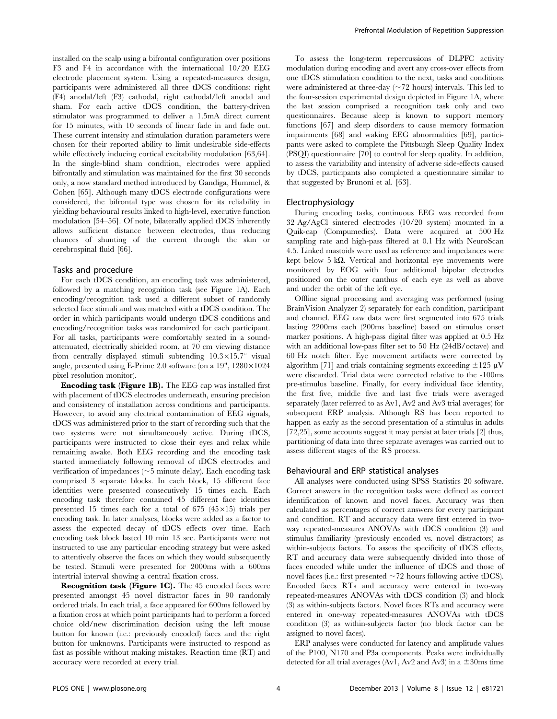installed on the scalp using a bifrontal configuration over positions F3 and F4 in accordance with the international 10/20 EEG electrode placement system. Using a repeated-measures design, participants were administered all three tDCS conditions: right (F4) anodal/left (F3) cathodal, right cathodal/left anodal and sham. For each active tDCS condition, the battery-driven stimulator was programmed to deliver a 1.5mA direct current for 15 minutes, with 10 seconds of linear fade in and fade out. These current intensity and stimulation duration parameters were chosen for their reported ability to limit undesirable side-effects while effectively inducing cortical excitability modulation [63,64]. In the single-blind sham condition, electrodes were applied bifrontally and stimulation was maintained for the first 30 seconds only, a now standard method introduced by Gandiga, Hummel, & Cohen [65]. Although many tDCS electrode configurations were considered, the bifrontal type was chosen for its reliability in yielding behavioural results linked to high-level, executive function modulation [54–56]. Of note, bilaterally applied tDCS inherently allows sufficient distance between electrodes, thus reducing chances of shunting of the current through the skin or cerebrospinal fluid [66].

#### Tasks and procedure

For each tDCS condition, an encoding task was administered, followed by a matching recognition task (see Figure 1A). Each encoding/recognition task used a different subset of randomly selected face stimuli and was matched with a tDCS condition. The order in which participants would undergo tDCS conditions and encoding/recognition tasks was randomized for each participant. For all tasks, participants were comfortably seated in a soundattenuated, electrically shielded room, at 70 cm viewing distance from centrally displayed stimuli subtending  $10.3 \times 15.7$ ° visual angle, presented using E-Prime 2.0 software (on a  $19"$ ,  $1280 \times 1024$ pixel resolution monitor).

Encoding task (Figure 1B). The EEG cap was installed first with placement of tDCS electrodes underneath, ensuring precision and consistency of installation across conditions and participants. However, to avoid any electrical contamination of EEG signals, tDCS was administered prior to the start of recording such that the two systems were not simultaneously active. During tDCS, participants were instructed to close their eyes and relax while remaining awake. Both EEG recording and the encoding task started immediately following removal of tDCS electrodes and verification of impedances  $(\sim 5$  minute delay). Each encoding task comprised 3 separate blocks. In each block, 15 different face identities were presented consecutively 15 times each. Each encoding task therefore contained 45 different face identities presented 15 times each for a total of 675 ( $45 \times 15$ ) trials per encoding task. In later analyses, blocks were added as a factor to assess the expected decay of tDCS effects over time. Each encoding task block lasted 10 min 13 sec. Participants were not instructed to use any particular encoding strategy but were asked to attentively observe the faces on which they would subsequently be tested. Stimuli were presented for 2000ms with a 600ms intertrial interval showing a central fixation cross.

Recognition task (Figure 1C). The 45 encoded faces were presented amongst 45 novel distractor faces in 90 randomly ordered trials. In each trial, a face appeared for 600ms followed by a fixation cross at which point participants had to perform a forced choice old/new discrimination decision using the left mouse button for known (i.e.: previously encoded) faces and the right button for unknowns. Participants were instructed to respond as fast as possible without making mistakes. Reaction time (RT) and accuracy were recorded at every trial.

To assess the long-term repercussions of DLPFC activity modulation during encoding and avert any cross-over effects from one tDCS stimulation condition to the next, tasks and conditions were administered at three-day  $(\sim 72$  hours) intervals. This led to the four-session experimental design depicted in Figure 1A, where the last session comprised a recognition task only and two questionnaires. Because sleep is known to support memory functions [67] and sleep disorders to cause memory formation impairments [68] and waking EEG abnormalities [69], participants were asked to complete the Pittsburgh Sleep Quality Index (PSQI) questionnaire [70] to control for sleep quality. In addition, to assess the variability and intensity of adverse side-effects caused by tDCS, participants also completed a questionnaire similar to that suggested by Brunoni et al. [63].

#### Electrophysiology

During encoding tasks, continuous EEG was recorded from 32 Ag/AgCl sintered electrodes (10/20 system) mounted in a Quik-cap (Compumedics). Data were acquired at 500 Hz sampling rate and high-pass filtered at 0.1 Hz with NeuroScan 4.5. Linked mastoids were used as reference and impedances were kept below 5 k $\Omega$ . Vertical and horizontal eye movements were monitored by EOG with four additional bipolar electrodes positioned on the outer canthus of each eye as well as above and under the orbit of the left eye.

Offline signal processing and averaging was performed (using BrainVision Analyzer 2) separately for each condition, participant and channel. EEG raw data were first segmented into 675 trials lasting 2200ms each (200ms baseline) based on stimulus onset marker positions. A high-pass digital filter was applied at 0.5 Hz with an additional low-pass filter set to 50 Hz (24dB/octave) and 60 Hz notch filter. Eye movement artifacts were corrected by algorithm [71] and trials containing segments exceeding  $\pm 125 \mu V$ were discarded. Trial data were corrected relative to the -100ms pre-stimulus baseline. Finally, for every individual face identity, the first five, middle five and last five trials were averaged separately (later referred to as Av1, Av2 and Av3 trial averages) for subsequent ERP analysis. Although RS has been reported to happen as early as the second presentation of a stimulus in adults [72,25], some accounts suggest it may persist at later trials [2] thus, partitioning of data into three separate averages was carried out to assess different stages of the RS process.

# Behavioural and ERP statistical analyses

All analyses were conducted using SPSS Statistics 20 software. Correct answers in the recognition tasks were defined as correct identification of known and novel faces. Accuracy was then calculated as percentages of correct answers for every participant and condition. RT and accuracy data were first entered in twoway repeated-measures ANOVAs with tDCS condition (3) and stimulus familiarity (previously encoded vs. novel distractors) as within-subjects factors. To assess the specificity of tDCS effects, RT and accuracy data were subsequently divided into those of faces encoded while under the influence of tDCS and those of novel faces (i.e.: first presented  $\sim$  72 hours following active tDCS). Encoded faces RTs and accuracy were entered in two-way repeated-measures ANOVAs with tDCS condition (3) and block (3) as within-subjects factors. Novel faces RTs and accuracy were entered in one-way repeated-measures ANOVAs with tDCS condition (3) as within-subjects factor (no block factor can be assigned to novel faces).

ERP analyses were conducted for latency and amplitude values of the P100, N170 and P3a components. Peaks were individually detected for all trial averages (Av1, Av2 and Av3) in a  $\pm$ 30ms time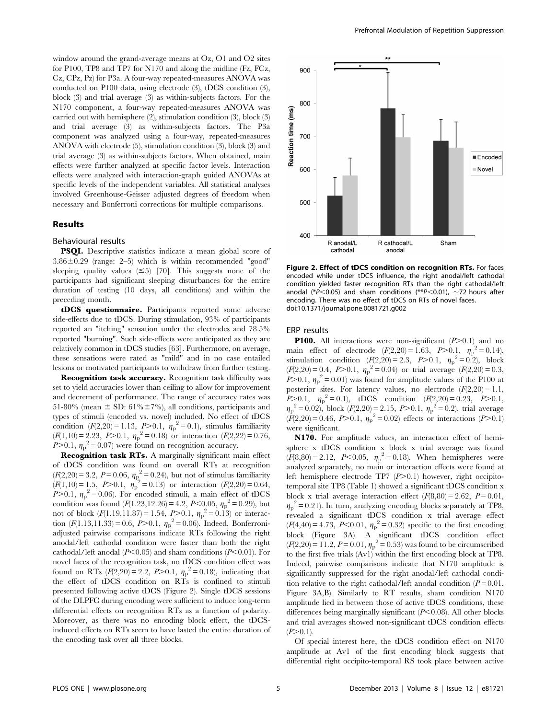window around the grand-average means at Oz, O1 and O2 sites for P100, TP8 and TP7 for N170 and along the midline (Fz, FCz, Cz, CPz, Pz) for P3a. A four-way repeated-measures ANOVA was conducted on P100 data, using electrode (3), tDCS condition (3), block (3) and trial average (3) as within-subjects factors. For the N170 component, a four-way repeated-measures ANOVA was carried out with hemisphere (2), stimulation condition (3), block (3) and trial average (3) as within-subjects factors. The P3a component was analyzed using a four-way, repeated-measures ANOVA with electrode (5), stimulation condition (3), block (3) and trial average (3) as within-subjects factors. When obtained, main effects were further analyzed at specific factor levels. Interaction effects were analyzed with interaction-graph guided ANOVAs at specific levels of the independent variables. All statistical analyses involved Greenhouse-Geisser adjusted degrees of freedom when necessary and Bonferroni corrections for multiple comparisons.

#### Results

#### Behavioural results

PSQI. Descriptive statistics indicate a mean global score of  $3.86\pm0.29$  (range: 2–5) which is within recommended "good" sleeping quality values  $(\leq 5)$  [70]. This suggests none of the participants had significant sleeping disturbances for the entire duration of testing (10 days, all conditions) and within the preceding month.

tDCS questionnaire. Participants reported some adverse side-effects due to tDCS. During stimulation, 93% of participants reported an "itching" sensation under the electrodes and 78.5% reported "burning". Such side-effects were anticipated as they are relatively common in tDCS studies [63]. Furthermore, on average, these sensations were rated as "mild" and in no case entailed lesions or motivated participants to withdraw from further testing.

Recognition task accuracy. Recognition task difficulty was set to yield accuracies lower than ceiling to allow for improvement and decrement of performance. The range of accuracy rates was 51-80% (mean  $\pm$  SD: 61% $\pm$ 7%), all conditions, participants and types of stimuli (encoded vs. novel) included. No effect of tDCS condition  $(F(2,20) = 1.13, P > 0.1, \eta_p^2 = 0.1)$ , stimulus familiarity  $(F(1,10) = 2.23, P > 0.1, \eta_p^2 = 0.18)$  or interaction  $(F(2,22) = 0.76,$  $P > 0.1$ ,  $\eta_p^2 = 0.07$ ) were found on recognition accuracy.

Recognition task RTs. A marginally significant main effect of tDCS condition was found on overall RTs at recognition  $(F(2,20) = 3.2, P = 0.06, \eta_{\rm p}^2 = 0.24)$ , but not of stimulus familiarity  $(F(1,10) = 1.5, P > 0.1, \eta_P^2 = 0.13)$  or interaction  $(F(2,20) = 0.64,$  $P > 0.1$ ,  $\eta_p^2 = 0.06$ ). For encoded stimuli, a main effect of tDCS condition was found  $(F(1.23, 12.26) = 4.2, P < 0.05, \eta_p^2 = 0.29)$ , but not of block  $(F(1.19, 11.87) = 1.54, P > 0.1, \eta_p^2 = 0.13)$  or interaction  $(F(1.13, 11.33) = 0.6, P > 0.1, \eta_p^2 = 0.06)$ . Indeed, Bonferroniadjusted pairwise comparisons indicate RTs following the right anodal/left cathodal condition were faster than both the right cathodal/left anodal ( $P<0.05$ ) and sham conditions ( $P<0.01$ ). For novel faces of the recognition task, no tDCS condition effect was found on RTs  $(F(2,20) = 2.2, P > 0.1, \eta_p^2 = 0.18)$ , indicating that the effect of tDCS condition on RTs is confined to stimuli presented following active tDCS (Figure 2). Single tDCS sessions of the DLPFC during encoding were sufficient to induce long-term differential effects on recognition RTs as a function of polarity. Moreover, as there was no encoding block effect, the tDCSinduced effects on RTs seem to have lasted the entire duration of the encoding task over all three blocks.



Figure 2. Effect of tDCS condition on recognition RTs. For faces encoded while under tDCS influence, the right anodal/left cathodal condition yielded faster recognition RTs than the right cathodal/left anodal (\* $P$ <0.05) and sham conditions (\*\* $P$ <0.01), ~72 hours after encoding. There was no effect of tDCS on RTs of novel faces. doi:10.1371/journal.pone.0081721.g002

#### ERP results

**P100.** All interactions were non-significant  $(P>0.1)$  and no main effect of electrode  $(F(2,20) = 1.63, P > 0.1, \eta_p^2 = 0.14)$ , stimulation condition  $(F(2,20) = 2.3, P > 0.1, \eta_p^2 = 0.2)$ , block  $(F(2,20) = 0.4, P > 0.1, \eta_p^2 = 0.04)$  or trial average  $(F(2,20) = 0.3,$  $P > 0.1$ ,  $\eta_p^2 = 0.01$ ) was found for amplitude values of the P100 at posterior sites. For latency values, no electrode  $(F(2,20) = 1.1,$  $P > 0.1$ ,  $\eta_p^2 = 0.1$ ), tDCS condition  $(F(2,20) = 0.23, P > 0.1,$  $\eta_p^2 = 0.02$ , block  $(F(2,20) = 2.15, P > 0.1, \eta_p^2 = 0.2)$ , trial average  $(F(2,20) = 0.46, P > 0.1, \eta_p^2 = 0.02)$  effects or interactions (P > 0.1) were significant.

N170. For amplitude values, an interaction effect of hemisphere x tDCS condition x block x trial average was found  $(F(8,80) = 2.12, P<0.05, \eta_p^2 = 0.18)$ . When hemispheres were analyzed separately, no main or interaction effects were found at left hemisphere electrode TP7  $(P>0.1)$  however, right occipitotemporal site TP8 (Table 1) showed a significant tDCS condition x block x trial average interaction effect  $(F(8,80) = 2.62, P = 0.01,$  $\eta_p^2$  = 0.21). In turn, analyzing encoding blocks separately at TP8, revealed a significant tDCS condition x trial average effect  $(F(4,40) = 4.73, P<0.01, \eta_p^2 = 0.32)$  specific to the first encoding block (Figure 3A). A significant tDCS condition effect  $(F(2,20) = 11.2, P = 0.01, \eta_p^2 = 0.53)$  was found to be circumscribed to the first five trials (Av1) within the first encoding block at TP8. Indeed, pairwise comparisons indicate that N170 amplitude is significantly suppressed for the right anodal/left cathodal condition relative to the right cathodal/left anodal condition  $(P=0.01,$ Figure 3A,B). Similarly to RT results, sham condition N170 amplitude lied in between those of active tDCS conditions, these differences being marginally significant  $(P<0.08)$ . All other blocks and trial averages showed non-significant tDCS condition effects  $(P>0.1)$ .

Of special interest here, the tDCS condition effect on N170 amplitude at Av1 of the first encoding block suggests that differential right occipito-temporal RS took place between active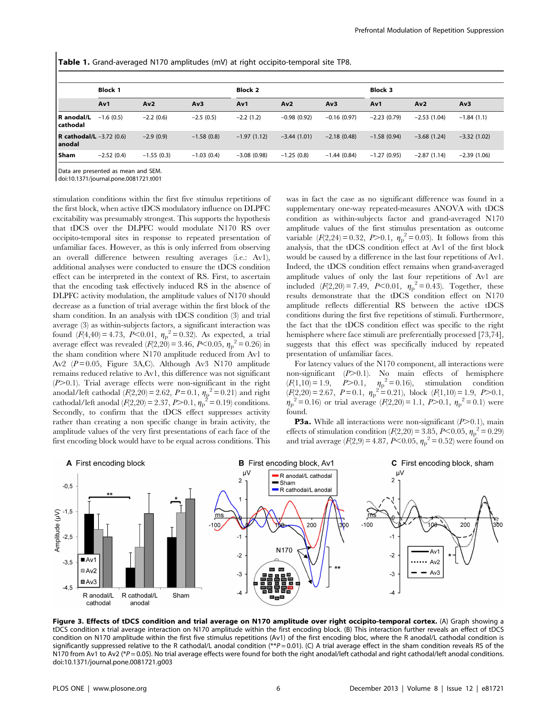|  |  |  |  | Table 1. Grand-averaged N170 amplitudes (mV) at right occipito-temporal site TP8. |  |
|--|--|--|--|-----------------------------------------------------------------------------------|--|
|--|--|--|--|-----------------------------------------------------------------------------------|--|

|                                               | <b>Block 1</b> |              |              | <b>Block 2</b> |               |               | <b>Block 3</b> |               |               |
|-----------------------------------------------|----------------|--------------|--------------|----------------|---------------|---------------|----------------|---------------|---------------|
|                                               | Av1            | Av2          | Av3          | Av1            | Av2           | Av3           | Av1            | Av2           | Av3           |
| R anodal/L<br>  cathodal                      | $-1.6(0.5)$    | $-2.2(0.6)$  | $-2.5(0.5)$  | $-2.2(1.2)$    | $-0.98(0.92)$ | $-0.16(0.97)$ | $-2.23(0.79)$  | $-2.53(1.04)$ | $-1.84(1.1)$  |
| <b>R</b> cathodal/L $-3.72$ (0.6)<br>  anodal |                | $-2.9(0.9)$  | $-1.58(0.8)$ | $-1.97(1.12)$  | $-3.44(1.01)$ | $-2.18(0.48)$ | $-1.58(0.94)$  | $-3.68(1.24)$ | $-3.32(1.02)$ |
| <b>Sham</b>                                   | $-2.52(0.4)$   | $-1.55(0.3)$ | $-1.03(0.4)$ | $-3.08(0.98)$  | $-1.25(0.8)$  | $-1.44(0.84)$ | $-1.27(0.95)$  | $-2.87(1.14)$ | $-2.39(1.06)$ |

Data are presented as mean and SEM

doi:10.1371/journal.pone.0081721.t001

stimulation conditions within the first five stimulus repetitions of the first block, when active tDCS modulatory influence on DLPFC excitability was presumably strongest. This supports the hypothesis that tDCS over the DLPFC would modulate N170 RS over occipito-temporal sites in response to repeated presentation of unfamiliar faces. However, as this is only inferred from observing an overall difference between resulting averages (i.e.: Av1), additional analyses were conducted to ensure the tDCS condition effect can be interpreted in the context of RS. First, to ascertain that the encoding task effectively induced RS in the absence of DLPFC activity modulation, the amplitude values of N170 should decrease as a function of trial average within the first block of the sham condition. In an analysis with tDCS condition (3) and trial average (3) as within-subjects factors, a significant interaction was found  $(F(4,40) = 4.73, P \le 0.01, \eta_p^2 = 0.32)$ . As expected, a trial average effect was revealed  $(F(2,20) = 3.46, P < 0.05, \eta_p^2 = 0.26)$  in the sham condition where N170 amplitude reduced from Av1 to Av2  $(P=0.05,$  Figure 3A,C). Although Av3 N170 amplitude remains reduced relative to Av1, this difference was not significant  $(P>0.1)$ . Trial average effects were non-significant in the right anodal/left cathodal  $(F(2,20) = 2.62, P = 0.1, \eta_p^2 = 0.21)$  and right cathodal/left anodal  $(F(2,20) = 2.37, P > 0.1, \eta_p^2 = 0.19)$  conditions. Secondly, to confirm that the tDCS effect suppresses activity rather than creating a non specific change in brain activity, the amplitude values of the very first presentations of each face of the first encoding block would have to be equal across conditions. This

was in fact the case as no significant difference was found in a supplementary one-way repeated-measures ANOVA with tDCS condition as within-subjects factor and grand-averaged N170 amplitude values of the first stimulus presentation as outcome variable  $(F(2,24) = 0.32, P > 0.1, \eta_p^2 = 0.03)$ . It follows from this analysis, that the tDCS condition effect at Av1 of the first block would be caused by a difference in the last four repetitions of Av1. Indeed, the tDCS condition effect remains when grand-averaged amplitude values of only the last four repetitions of Av1 are included  $(F(2,20) = 7.49, P<0.01, \eta_p^2 = 0.43)$ . Together, these results demonstrate that the tDCS condition effect on N170 amplitude reflects differential RS between the active tDCS conditions during the first five repetitions of stimuli. Furthermore, the fact that the tDCS condition effect was specific to the right hemisphere where face stimuli are preferentially processed [73,74], suggests that this effect was specifically induced by repeated presentation of unfamiliar faces.

For latency values of the N170 component, all interactions were non-significant  $(P>0.1)$ . No main effects of hemisphere  $(F(1,10) = 1.9, P > 0.1, \eta_p^2 = 0.16)$ , stimulation condition  $(F(2,20) = 2.67, P = 0.1, \eta_p^2 = 0.21)$ , block  $(F(1,10) = 1.9, P > 0.1$ ,  $\eta_p^2 = 0.16$ ) or trial average  $(F(2,20) = 1.1, P > 0.1, \eta_p^2 = 0.1)$  were found.

**P3a.** While all interactions were non-significant  $(P>0.1)$ , main effects of stimulation condition ( $F(2,20) = 3.85$ ,  $P < 0.05$ ,  $\eta_p^2 = 0.29$ ) and trial average  $(F(2, 9) = 4.87, P < 0.05, \eta_{p}^{2} = 0.52)$  were found on



Figure 3. Effects of tDCS condition and trial average on N170 amplitude over right occipito-temporal cortex. (A) Graph showing a tDCS condition x trial average interaction on N170 amplitude within the first encoding block. (B) This interaction further reveals an effect of tDCS condition on N170 amplitude within the first five stimulus repetitions (Av1) of the first encoding bloc, where the R anodal/L cathodal condition is significantly suppressed relative to the R cathodal/L anodal condition  $(*p=0.01)$ . (C) A trial average effect in the sham condition reveals RS of the N170 from Av1 to Av2 (\*P = 0.05). No trial average effects were found for both the right anodal/left cathodal and right cathodal/left anodal conditions. doi:10.1371/journal.pone.0081721.g003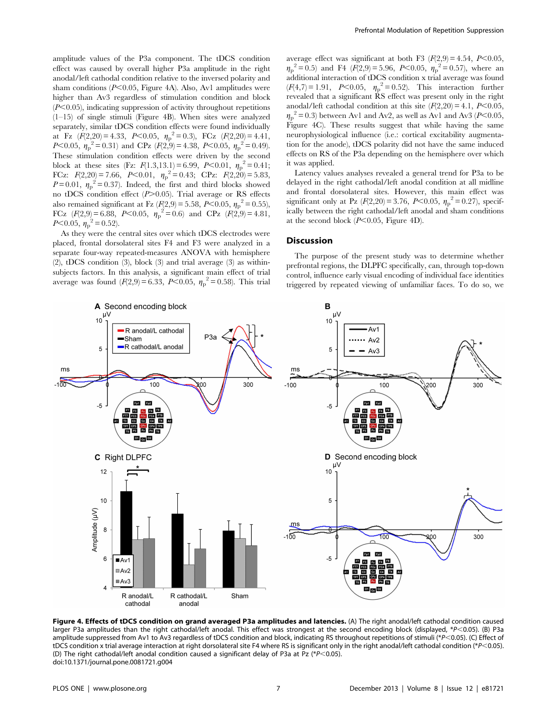amplitude values of the P3a component. The tDCS condition effect was caused by overall higher P3a amplitude in the right anodal/left cathodal condition relative to the inversed polarity and sham conditions  $(P<0.05$ , Figure 4A). Also, Av1 amplitudes were higher than Av3 regardless of stimulation condition and block  $(P<0.05)$ , indicating suppression of activity throughout repetitions  $(1-15)$  of single stimuli (Figure 4B). When sites were analyzed separately, similar tDCS condition effects were found individually at Fz  $(F(2,20) = 4.33, P < 0.05, \eta_p^2 = 0.3),$  FCz  $(F(2,20) = 4.41,$ P<0.05,  $\eta_p^2 = 0.31$ ) and CPz  $(F(2, 9) = 4.38, P < 0.05, \eta_p^2 = 0.49)$ . These stimulation condition effects were driven by the second block at these sites (Fz:  $F(1.3, 13.1) = 6.99$ ,  $P<0.01$ ,  $\eta_p^2 = 0.41$ ; FCz:  $F(2,20) = 7.66$ ,  $P < 0.01$ ,  $\eta_p^2 = 0.43$ ; CPz:  $F(2,20) = 5.83$ ,  $P=0.01$ ,  $\eta_{\rm p}^2=0.37$ ). Indeed, the first and third blocks showed no tDCS condition effect  $(P>0.05)$ . Trial average or RS effects also remained significant at Fz ( $F(2,9) = 5.58$ ,  $P \le 0.05$ ,  $\eta_p^2 = 0.55$ ), FCz  $(F(2,9) = 6.88, P < 0.05, \eta_p^2 = 0.6)$  and CPz  $(F(2,9) = 4.81,$  $P< 0.05, \eta_{\rm p}^2 = 0.52$ ).

As they were the central sites over which tDCS electrodes were placed, frontal dorsolateral sites F4 and F3 were analyzed in a separate four-way repeated-measures ANOVA with hemisphere (2), tDCS condition (3), block (3) and trial average (3) as withinsubjects factors. In this analysis, a significant main effect of trial average was found  $(F(2,9) = 6.33, P \le 0.05, \eta_p^2 = 0.58)$ . This trial

average effect was significant at both F3  $(F(2,9) = 4.54, P<0.05,$  $\eta_p^2 = 0.5$  and F4 ( $\bar{F}(2,9) = 5.96$ ,  $P < 0.05$ ,  $\eta_p^2 = 0.57$ ), where an additional interaction of tDCS condition x trial average was found  $(F(4,7) = 1.91, P<0.05, \eta_p^2 = 0.52)$ . This interaction further revealed that a significant RS effect was present only in the right anodal/left cathodal condition at this site  $(F(2,20) = 4.1, P<0.05,$  $\eta_p^2$  = 0.3) between Av1 and Av2, as well as Av1 and Av3 (P<0.05, Figure 4C). These results suggest that while having the same neurophysiological influence (i.e.: cortical excitability augmentation for the anode), tDCS polarity did not have the same induced effects on RS of the P3a depending on the hemisphere over which it was applied.

Latency values analyses revealed a general trend for P3a to be delayed in the right cathodal/left anodal condition at all midline and frontal dorsolateral sites. However, this main effect was significant only at Pz  $(F(2,20) = 3.76, P < 0.05, \eta_p^2 = 0.27)$ , specifically between the right cathodal/left anodal and sham conditions at the second block  $(P<0.05$ , Figure 4D).

# Discussion

The purpose of the present study was to determine whether prefrontal regions, the DLPFC specifically, can, through top-down control, influence early visual encoding of individual face identities triggered by repeated viewing of unfamiliar faces. To do so, we



Figure 4. Effects of tDCS condition on grand averaged P3a amplitudes and latencies. (A) The right anodal/left cathodal condition caused larger P3a amplitudes than the right cathodal/left anodal. This effect was strongest at the second encoding block (displayed, \*P<0.05). (B) P3a amplitude suppressed from Av1 to Av3 regardless of tDCS condition and block, indicating RS throughout repetitions of stimuli (\*P $\leq$ 0.05). (C) Effect of tDCS condition x trial average interaction at right dorsolateral site F4 where RS is significant only in the right anodal/left cathodal condition (\*P<0.05). (D) The right cathodal/left anodal condition caused a significant delay of P3a at Pz (\*P<0.05). doi:10.1371/journal.pone.0081721.g004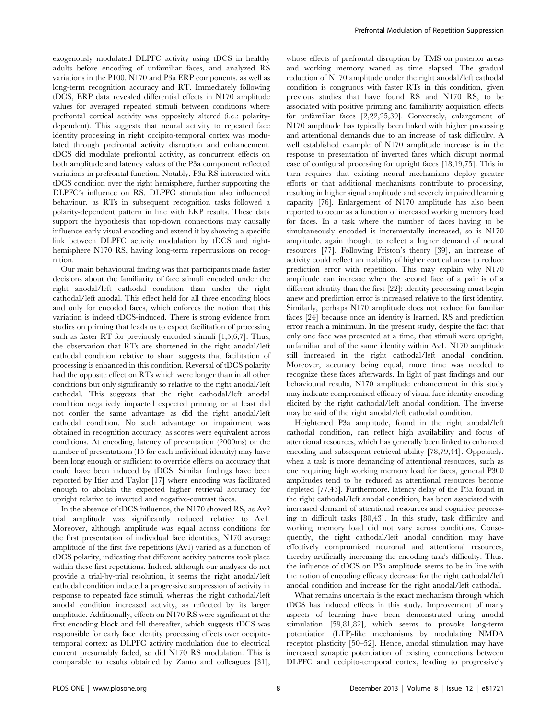exogenously modulated DLPFC activity using tDCS in healthy adults before encoding of unfamiliar faces, and analyzed RS variations in the P100, N170 and P3a ERP components, as well as long-term recognition accuracy and RT. Immediately following tDCS, ERP data revealed differential effects in N170 amplitude values for averaged repeated stimuli between conditions where prefrontal cortical activity was oppositely altered (i.e.: polaritydependent). This suggests that neural activity to repeated face identity processing in right occipito-temporal cortex was modulated through prefrontal activity disruption and enhancement. tDCS did modulate prefrontal activity, as concurrent effects on both amplitude and latency values of the P3a component reflected variations in prefrontal function. Notably, P3a RS interacted with tDCS condition over the right hemisphere, further supporting the DLPFC's influence on RS. DLPFC stimulation also influenced behaviour, as RTs in subsequent recognition tasks followed a polarity-dependent pattern in line with ERP results. These data support the hypothesis that top-down connections may causally influence early visual encoding and extend it by showing a specific link between DLPFC activity modulation by tDCS and righthemisphere N170 RS, having long-term repercussions on recognition.

Our main behavioural finding was that participants made faster decisions about the familiarity of face stimuli encoded under the right anodal/left cathodal condition than under the right cathodal/left anodal. This effect held for all three encoding blocs and only for encoded faces, which enforces the notion that this variation is indeed tDCS-induced. There is strong evidence from studies on priming that leads us to expect facilitation of processing such as faster RT for previously encoded stimuli [1,5,6,7]. Thus, the observation that RTs are shortened in the right anodal/left cathodal condition relative to sham suggests that facilitation of processing is enhanced in this condition. Reversal of tDCS polarity had the opposite effect on RTs which were longer than in all other conditions but only significantly so relative to the right anodal/left cathodal. This suggests that the right cathodal/left anodal condition negatively impacted expected priming or at least did not confer the same advantage as did the right anodal/left cathodal condition. No such advantage or impairment was obtained in recognition accuracy, as scores were equivalent across conditions. At encoding, latency of presentation (2000ms) or the number of presentations (15 for each individual identity) may have been long enough or sufficient to override effects on accuracy that could have been induced by tDCS. Similar findings have been reported by Itier and Taylor [17] where encoding was facilitated enough to abolish the expected higher retrieval accuracy for upright relative to inverted and negative-contrast faces.

In the absence of tDCS influence, the N170 showed RS, as Av2 trial amplitude was significantly reduced relative to Av1. Moreover, although amplitude was equal across conditions for the first presentation of individual face identities, N170 average amplitude of the first five repetitions (Av1) varied as a function of tDCS polarity, indicating that different activity patterns took place within these first repetitions. Indeed, although our analyses do not provide a trial-by-trial resolution, it seems the right anodal/left cathodal condition induced a progressive suppression of activity in response to repeated face stimuli, whereas the right cathodal/left anodal condition increased activity, as reflected by its larger amplitude. Additionally, effects on N170 RS were significant at the first encoding block and fell thereafter, which suggests tDCS was responsible for early face identity processing effects over occipitotemporal cortex: as DLPFC activity modulation due to electrical current presumably faded, so did N170 RS modulation. This is comparable to results obtained by Zanto and colleagues [31],

whose effects of prefrontal disruption by TMS on posterior areas and working memory waned as time elapsed. The gradual reduction of N170 amplitude under the right anodal/left cathodal condition is congruous with faster RTs in this condition, given previous studies that have found RS and N170 RS, to be associated with positive priming and familiarity acquisition effects for unfamiliar faces [2,22,25,39]. Conversely, enlargement of N170 amplitude has typically been linked with higher processing and attentional demands due to an increase of task difficulty. A well established example of N170 amplitude increase is in the response to presentation of inverted faces which disrupt normal ease of configural processing for upright faces [18,19,75]. This in turn requires that existing neural mechanisms deploy greater efforts or that additional mechanisms contribute to processing, resulting in higher signal amplitude and severely impaired learning capacity [76]. Enlargement of N170 amplitude has also been reported to occur as a function of increased working memory load for faces. In a task where the number of faces having to be simultaneously encoded is incrementally increased, so is N170 amplitude, again thought to reflect a higher demand of neural resources [77]. Following Friston's theory [39], an increase of activity could reflect an inability of higher cortical areas to reduce prediction error with repetition. This may explain why N170 amplitude can increase when the second face of a pair is of a different identity than the first [22]: identity processing must begin anew and prediction error is increased relative to the first identity. Similarly, perhaps N170 amplitude does not reduce for familiar faces [24] because once an identity is learned, RS and prediction error reach a minimum. In the present study, despite the fact that only one face was presented at a time, that stimuli were upright, unfamiliar and of the same identity within Av1, N170 amplitude still increased in the right cathodal/left anodal condition. Moreover, accuracy being equal, more time was needed to recognize these faces afterwards. In light of past findings and our behavioural results, N170 amplitude enhancement in this study may indicate compromised efficacy of visual face identity encoding elicited by the right cathodal/left anodal condition. The inverse may be said of the right anodal/left cathodal condition.

Heightened P3a amplitude, found in the right anodal/left cathodal condition, can reflect high availability and focus of attentional resources, which has generally been linked to enhanced encoding and subsequent retrieval ability [78,79,44]. Oppositely, when a task is more demanding of attentional resources, such as one requiring high working memory load for faces, general P300 amplitudes tend to be reduced as attentional resources become depleted [77,43]. Furthermore, latency delay of the P3a found in the right cathodal/left anodal condition, has been associated with increased demand of attentional resources and cognitive processing in difficult tasks [80,43]. In this study, task difficulty and working memory load did not vary across conditions. Consequently, the right cathodal/left anodal condition may have effectively compromised neuronal and attentional resources, thereby artificially increasing the encoding task's difficulty. Thus, the influence of tDCS on P3a amplitude seems to be in line with the notion of encoding efficacy decrease for the right cathodal/left anodal condition and increase for the right anodal/left cathodal.

What remains uncertain is the exact mechanism through which tDCS has induced effects in this study. Improvement of many aspects of learning have been demonstrated using anodal stimulation [59,81,82], which seems to provoke long-term potentiation (LTP)-like mechanisms by modulating NMDA receptor plasticity [50–52]. Hence, anodal stimulation may have increased synaptic potentiation of existing connections between DLPFC and occipito-temporal cortex, leading to progressively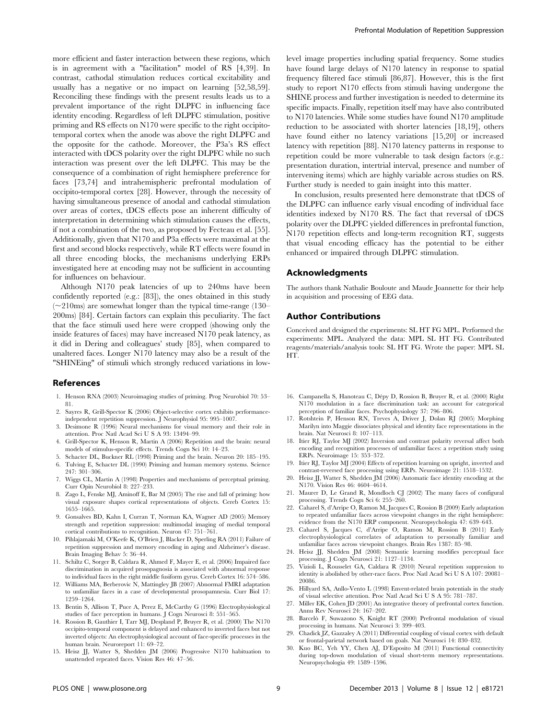more efficient and faster interaction between these regions, which is in agreement with a "facilitation" model of RS [4,39]. In contrast, cathodal stimulation reduces cortical excitability and usually has a negative or no impact on learning [52,58,59]. Reconciling these findings with the present results leads us to a prevalent importance of the right DLPFC in influencing face identity encoding. Regardless of left DLPFC stimulation, positive priming and RS effects on N170 were specific to the right occipitotemporal cortex when the anode was above the right DLPFC and the opposite for the cathode. Moreover, the P3a's RS effect interacted with tDCS polarity over the right DLPFC while no such interaction was present over the left DLPFC. This may be the consequence of a combination of right hemisphere preference for faces [73,74] and intrahemispheric prefrontal modulation of occipito-temporal cortex [28]. However, through the necessity of having simultaneous presence of anodal and cathodal stimulation over areas of cortex, tDCS effects pose an inherent difficulty of interpretation in determining which stimulation causes the effects, if not a combination of the two, as proposed by Fecteau et al. [55]. Additionally, given that N170 and P3a effects were maximal at the first and second blocks respectively, while RT effects were found in all three encoding blocks, the mechanisms underlying ERPs investigated here at encoding may not be sufficient in accounting for influences on behaviour.

Although N170 peak latencies of up to 240ms have been confidently reported (e.g.: [83]), the ones obtained in this study  $\sim$ 210ms) are somewhat longer than the typical time-range (130– 200ms) [84]. Certain factors can explain this peculiarity. The fact that the face stimuli used here were cropped (showing only the inside features of faces) may have increased N170 peak latency, as it did in Dering and colleagues' study [85], when compared to unaltered faces. Longer N170 latency may also be a result of the "SHINEing" of stimuli which strongly reduced variations in low-

#### References

- 1. Henson RNA (2003) Neuroimaging studies of priming. Prog Neurobiol 70: 53– 81.
- 2. Sayres R, Grill-Spector K (2006) Object-selective cortex exhibits performanceindependent repetition suppression. J Neurophysiol 95: 995–1007.
- 3. Desimone R (1996) Neural mechanisms for visual memory and their role in attention. Proc Natl Acad Sci U S A 93: 13494–99.
- 4. Grill-Spector K, Henson R, Martin A (2006) Repetition and the brain: neural models of stimulus-specific effects. Trends Cogn Sci 10: 14–23.
- 5. Schacter DL, Buckner RL (1998) Priming and the brain. Neuron 20: 185–195. 6. Tulving E, Schacter DL (1990) Priming and human memory systems. Science
- 247: 301–306.
- 7. Wiggs CL, Martin A (1998) Properties and mechanisms of perceptual priming. Curr Opin Neurobiol 8: 227–233.
- 8. Zago L, Fenske MJ, Aminoff E, Bar M (2005) The rise and fall of priming: how visual exposure shapes cortical representations of objects. Cereb Cortex 15: 1655–1665.
- 9. Gonsalves BD, Kahn I, Curran T, Norman KA, Wagner AD (2005) Memory strength and repetition suppression: multimodal imaging of medial temporal cortical contributions to recognition. Neuron 47: 751–761.
- 10. Pihlajamaki M, O'Keefe K, O'Brien J, Blacker D, Sperling RA (2011) Failure of repetition suppression and memory encoding in aging and Alzheimer's disease. Brain Imaging Behav 5: 36–44.
- 11. Schiltz C, Sorger B, Caldara R, Ahmed F, Mayer E, et al. (2006) Impaired face discrimination in acquired prosopagnosia is associated with abnormal response to individual faces in the right middle fusiform gyrus. Cereb Cortex 16: 574–586.
- 12. Williams MA, Berberovic N, Mattingley JB (2007) Abnormal FMRI adaptation to unfamiliar faces in a case of developmental prosopamnesia. Curr Biol 17: 1259–1264.
- 13. Bentin S, Allison T, Puce A, Perez E, McCarthy G (1996) Electrophysiological studies of face perception in humans. J Cogn Neurosci 8: 551–565.
- 14. Rossion B, Gauthier I, Tarr MJ, Despland P, Bruyer R, et al. (2000) The N170 occipito-temporal component is delayed and enhanced to inverted faces but not inverted objects: An electrophysiological account of face-specific processes in the human brain. Neuroreport 11: 69–72. 15. Heisz JJ, Watter S, Shedden JM (2006) Progressive N170 habituation to

the DLPFC can influence early visual encoding of individual face

identities indexed by N170 RS. The fact that reversal of tDCS polarity over the DLPFC yielded differences in prefrontal function, N170 repetition effects and long-term recognition RT, suggests that visual encoding efficacy has the potential to be either enhanced or impaired through DLPFC stimulation.

In conclusion, results presented here demonstrate that tDCS of

Further study is needed to gain insight into this matter.

level image properties including spatial frequency. Some studies have found large delays of N170 latency in response to spatial frequency filtered face stimuli [86,87]. However, this is the first study to report N170 effects from stimuli having undergone the SHINE process and further investigation is needed to determine its specific impacts. Finally, repetition itself may have also contributed to N170 latencies. While some studies have found N170 amplitude reduction to be associated with shorter latencies [18,19], others have found either no latency variations [15,20] or increased latency with repetition [88]. N170 latency patterns in response to repetition could be more vulnerable to task design factors (e.g.: presentation duration, intertrial interval, presence and number of intervening items) which are highly variable across studies on RS.

## Acknowledgments

The authors thank Nathalie Bouloute and Maude Joannette for their help in acquisition and processing of EEG data.

# Author Contributions

Conceived and designed the experiments: SL HT FG MPL. Performed the experiments: MPL. Analyzed the data: MPL SL HT FG. Contributed reagents/materials/analysis tools: SL HT FG. Wrote the paper: MPL SL HT.

- 16. Campanella S, Hanoteau C, Dépy D, Rossion B, Bruyer R, et al. (2000) Right N170 modulation in a face discrimination task: an account for categorical perception of familiar faces. Psychophysiology 37: 796–806.
- 17. Rotshtein P, Henson RN, Treves A, Driver J, Dolan RJ (2005) Morphing Marilyn into Maggie dissociates physical and identity face representations in the brain. Nat Neurosci 8: 107–113.
- 18. Itier RJ, Taylor MJ (2002) Inversion and contrast polarity reversal affect both encoding and recognition processes of unfamiliar faces: a repetition study using ERPs. Neuroimage 15: 353–372.
- 19. Itier RJ, Taylor MJ (2004) Effects of repetition learning on upright, inverted and contrast-reversed face processing using ERPs. Neuroimage 21: 1518–1532.
- 20. Heisz JJ, Watter S, Shedden JM (2006) Automatic face identity encoding at the N170. Vision Res 46: 4604–4614.
- 21. Maurer D, Le Grand R, Mondloch CJ (2002) The many faces of configural processing. Trends Cogn Sci 6: 255–260.
- 22. Caharel S, d'Arripe O, Ramon M, Jacques C, Rossion B (2009) Early adaptation to repeated unfamiliar faces across viewpoint changes in the right hemisphere: evidence from the N170 ERP component. Neuropsychologia 47: 639–643.
- 23. Caharel S, Jacques C, d'Arripe O, Ramon M, Rossion B (2011) Early electrophysiological correlates of adaptation to personally familiar and unfamiliar faces across viewpoint changes. Brain Res 1387: 85–98.
- 24. Heisz JJ, Shedden JM (2008) Semantic learning modifies perceptual face processing. J Cogn Neurosci 21: 1127–1134.
- 25. Vizioli L, Rousselet GA, Caldara R (2010) Neural repetition suppression to identity is abolished by other-race faces. Proc Natl Acad Sci U S A 107: 20081– 20086.
- 26. Hillyard SA, Anllo-Vento L (1998) Envent-related brain potentials in the study of visual selective attention. Proc Natl Acad Sci U S A 95: 781–787.
- 27. Miller EK, Cohen JD (2001) An integrative theory of prefrontal cortex function. Annu Rev Neurosci 24: 167–202.
- 28. Barcelo` F, Suwazono S, Knight RT (2000) Prefrontal modulation of visual processing in humans. Nat Neurosci 3: 399–403.
- 29. Chadick JZ, Gazzaley A (2011) Differential coupling of visual cortex with default or frontal-parietal network based on goals. Nat Neurosci 14: 830–832.
- 30. Kuo BC, Yeh YY, Chen AJ, D'Esposito M (2011) Functional connectivity during top-down modulation of visual short-term memory representations. Neuropsychologia 49: 1589–1596.

unattended repeated faces. Vision Res 46: 47–56.